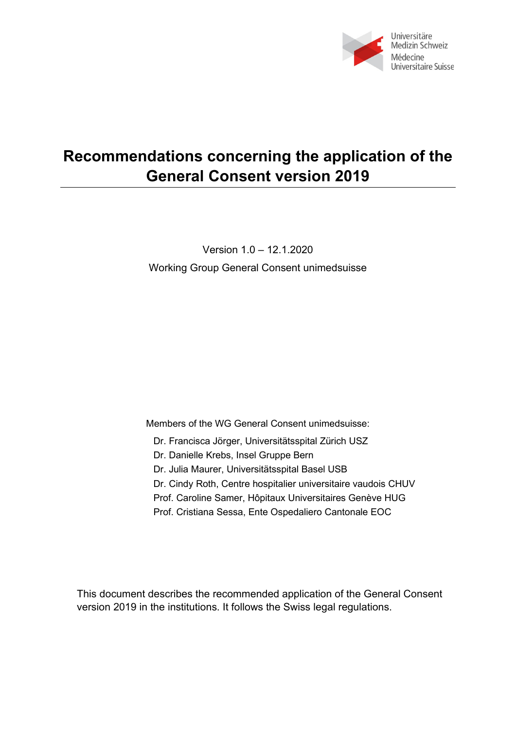

# **Recommendations concerning the application of the General Consent version 2019**

Version 1.0 – 12.1.2020 Working Group General Consent unimedsuisse

Members of the WG General Consent unimedsuisse:

Dr. Francisca Jörger, Universitätsspital Zürich USZ

Dr. Danielle Krebs, Insel Gruppe Bern

Dr. Julia Maurer, Universitätsspital Basel USB

Dr. Cindy Roth, Centre hospitalier universitaire vaudois CHUV

Prof. Caroline Samer, Hôpitaux Universitaires Genève HUG

Prof. Cristiana Sessa, Ente Ospedaliero [Cantonale EOC](https://www.google.com/url?sa=t&rct=j&q=&esrc=s&source=web&cd=3&cad=rja&uact=8&ved=2ahUKEwiZu4HIqZLnAhWFolwKHUe7CR0QFjACegQIBxAB&url=https%3A%2F%2Fwww.eoc.ch%2FDettagli%2FMedico.Sessa--Cristiana.109.html&usg=AOvVaw02TWy_L0u87y48IFgXyq9R)

This document describes the recommended application of the General Consent version 2019 in the institutions. It follows the Swiss legal regulations.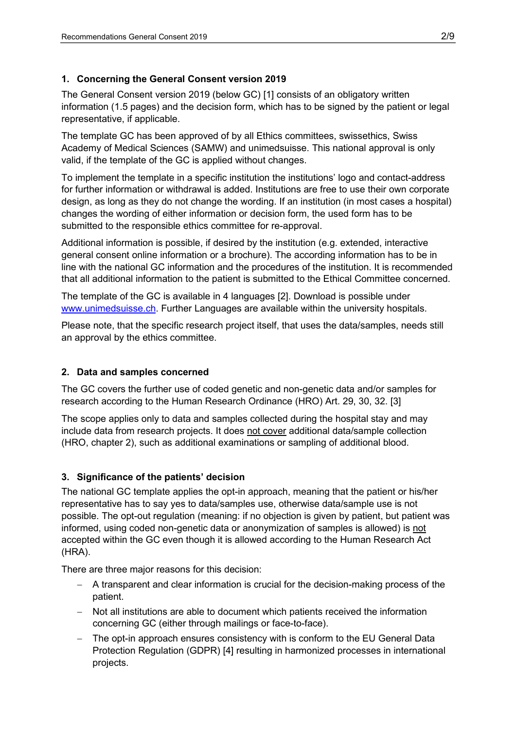#### **1. Concerning the General Consent version 2019**

The General Consent version 2019 (below GC) [1] consists of an obligatory written information (1.5 pages) and the decision form, which has to be signed by the patient or legal representative, if applicable.

The template GC has been approved of by all Ethics committees, swissethics, Swiss Academy of Medical Sciences (SAMW) and unimedsuisse. This national approval is only valid, if the template of the GC is applied without changes.

To implement the template in a specific institution the institutions' logo and contact-address for further information or withdrawal is added. Institutions are free to use their own corporate design, as long as they do not change the wording. If an institution (in most cases a hospital) changes the wording of either information or decision form, the used form has to be submitted to the responsible ethics committee for re-approval.

Additional information is possible, if desired by the institution (e.g. extended, interactive general consent online information or a brochure). The according information has to be in line with the national GC information and the procedures of the institution. It is recommended that all additional information to the patient is submitted to the Ethical Committee concerned.

The template of the GC is available in 4 languages [2]. Download is possible under [www.unimedsuisse.ch.](http://www.unimedsuisse.ch/) Further Languages are available within the university hospitals.

Please note, that the specific research project itself, that uses the data/samples, needs still an approval by the ethics committee.

#### **2. Data and samples concerned**

The GC covers the further use of coded genetic and non-genetic data and/or samples for research according to the Human Research Ordinance (HRO) Art. 29, 30, 32. [3]

The scope applies only to data and samples collected during the hospital stay and may include data from research projects. It does not cover additional data/sample collection (HRO, chapter 2), such as additional examinations or sampling of additional blood.

## **3. Significance of the patients' decision**

The national GC template applies the opt-in approach, meaning that the patient or his/her representative has to say yes to data/samples use, otherwise data/sample use is not possible. The opt-out regulation (meaning: if no objection is given by patient, but patient was informed, using coded non-genetic data or anonymization of samples is allowed) is not accepted within the GC even though it is allowed according to the Human Research Act (HRA).

There are three major reasons for this decision:

- − A transparent and clear information is crucial for the decision-making process of the patient.
- − Not all institutions are able to document which patients received the information concerning GC (either through mailings or face-to-face).
- − The opt-in approach ensures consistency with is conform to the EU General Data Protection Regulation (GDPR) [4] resulting in harmonized processes in international projects.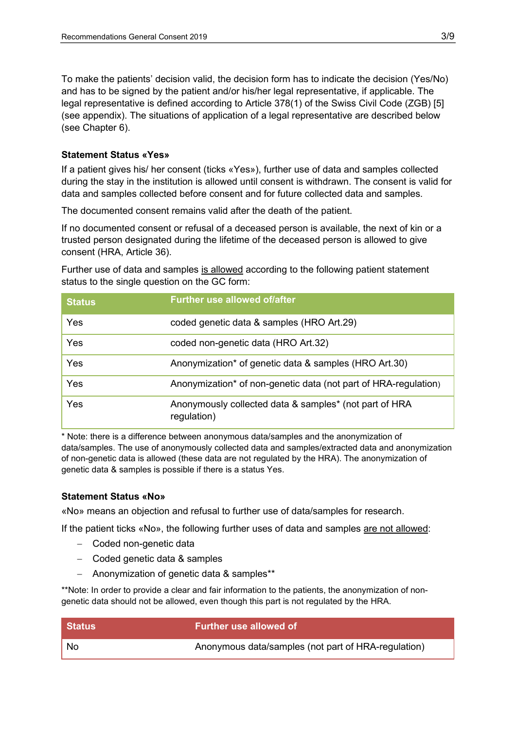To make the patients' decision valid, the decision form has to indicate the decision (Yes/No) and has to be signed by the patient and/or his/her legal representative, if applicable. The legal representative is defined according to Article 378(1) of the Swiss Civil Code (ZGB) [5] (see appendix). The situations of application of a legal representative are described below (see Chapter 6).

#### **Statement Status «Yes»**

If a patient gives his/ her consent (ticks «Yes»), further use of data and samples collected during the stay in the institution is allowed until consent is withdrawn. The consent is valid for data and samples collected before consent and for future collected data and samples.

The documented consent remains valid after the death of the patient.

If no documented consent or refusal of a deceased person is available, the next of kin or a trusted person designated during the lifetime of the deceased person is allowed to give consent (HRA, Article 36).

Further use of data and samples is allowed according to the following patient statement status to the single question on the GC form:

| <b>Status</b> | <b>Further use allowed of/after</b>                                   |
|---------------|-----------------------------------------------------------------------|
| Yes           | coded genetic data & samples (HRO Art.29)                             |
| Yes           | coded non-genetic data (HRO Art.32)                                   |
| Yes           | Anonymization* of genetic data & samples (HRO Art.30)                 |
| Yes           | Anonymization* of non-genetic data (not part of HRA-regulation)       |
| Yes           | Anonymously collected data & samples* (not part of HRA<br>regulation) |

\* Note: there is a difference between anonymous data/samples and the anonymization of data/samples. The use of anonymously collected data and samples/extracted data and anonymization of non-genetic data is allowed (these data are not regulated by the HRA). The anonymization of genetic data & samples is possible if there is a status Yes.

#### **Statement Status «No»**

«No» means an objection and refusal to further use of data/samples for research.

If the patient ticks «No», the following further uses of data and samples are not allowed:

- − Coded non-genetic data
- − Coded genetic data & samples
- − Anonymization of genetic data & samples\*\*

\*\*Note: In order to provide a clear and fair information to the patients, the anonymization of nongenetic data should not be allowed, even though this part is not regulated by the HRA.

| Status | <b>Further use allowed of</b>                       |
|--------|-----------------------------------------------------|
| . No   | Anonymous data/samples (not part of HRA-regulation) |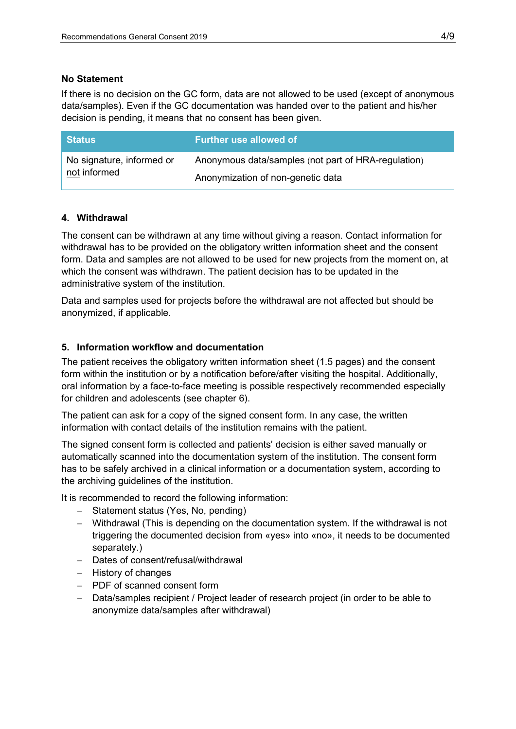#### **No Statement**

If there is no decision on the GC form, data are not allowed to be used (except of anonymous data/samples). Even if the GC documentation was handed over to the patient and his/her decision is pending, it means that no consent has been given.

| ∣ Status i                                | <b>Further use allowed of</b>                       |
|-------------------------------------------|-----------------------------------------------------|
| No signature, informed or<br>not informed | Anonymous data/samples (not part of HRA-regulation) |
|                                           | Anonymization of non-genetic data                   |

#### **4. Withdrawal**

The consent can be withdrawn at any time without giving a reason. Contact information for withdrawal has to be provided on the obligatory written information sheet and the consent form. Data and samples are not allowed to be used for new projects from the moment on, at which the consent was withdrawn. The patient decision has to be updated in the administrative system of the institution.

Data and samples used for projects before the withdrawal are not affected but should be anonymized, if applicable.

#### **5. Information workflow and documentation**

The patient receives the obligatory written information sheet (1.5 pages) and the consent form within the institution or by a notification before/after visiting the hospital. Additionally, oral information by a face-to-face meeting is possible respectively recommended especially for children and adolescents (see chapter 6).

The patient can ask for a copy of the signed consent form. In any case, the written information with contact details of the institution remains with the patient.

The signed consent form is collected and patients' decision is either saved manually or automatically scanned into the documentation system of the institution. The consent form has to be safely archived in a clinical information or a documentation system, according to the archiving guidelines of the institution.

It is recommended to record the following information:

- − Statement status (Yes, No, pending)
- − Withdrawal (This is depending on the documentation system. If the withdrawal is not triggering the documented decision from «yes» into «no», it needs to be documented separately.)
- − Dates of consent/refusal/withdrawal
- − History of changes
- − PDF of scanned consent form
- − Data/samples recipient / Project leader of research project (in order to be able to anonymize data/samples after withdrawal)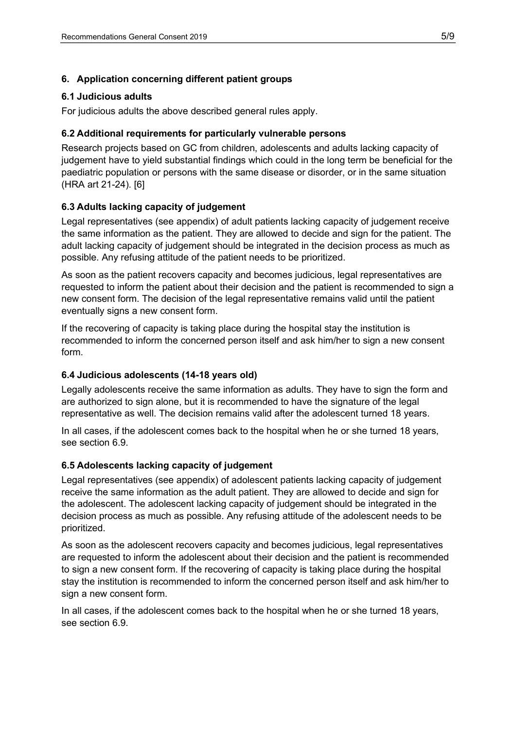## **6. Application concerning different patient groups**

#### **6.1 Judicious adults**

For judicious adults the above described general rules apply.

#### **6.2 Additional requirements for particularly vulnerable persons**

Research projects based on GC from children, adolescents and adults lacking capacity of judgement have to yield substantial findings which could in the long term be beneficial for the paediatric population or persons with the same disease or disorder, or in the same situation (HRA art 21-24). [6]

#### **6.3 Adults lacking capacity of judgement**

Legal representatives (see appendix) of adult patients lacking capacity of judgement receive the same information as the patient. They are allowed to decide and sign for the patient. The adult lacking capacity of judgement should be integrated in the decision process as much as possible. Any refusing attitude of the patient needs to be prioritized.

As soon as the patient recovers capacity and becomes judicious, legal representatives are requested to inform the patient about their decision and the patient is recommended to sign a new consent form. The decision of the legal representative remains valid until the patient eventually signs a new consent form.

If the recovering of capacity is taking place during the hospital stay the institution is recommended to inform the concerned person itself and ask him/her to sign a new consent form.

#### **6.4 Judicious adolescents (14-18 years old)**

Legally adolescents receive the same information as adults. They have to sign the form and are authorized to sign alone, but it is recommended to have the signature of the legal representative as well. The decision remains valid after the adolescent turned 18 years.

In all cases, if the adolescent comes back to the hospital when he or she turned 18 years, see section 6.9.

#### **6.5 Adolescents lacking capacity of judgement**

Legal representatives (see appendix) of adolescent patients lacking capacity of judgement receive the same information as the adult patient. They are allowed to decide and sign for the adolescent. The adolescent lacking capacity of judgement should be integrated in the decision process as much as possible. Any refusing attitude of the adolescent needs to be prioritized.

As soon as the adolescent recovers capacity and becomes judicious, legal representatives are requested to inform the adolescent about their decision and the patient is recommended to sign a new consent form. If the recovering of capacity is taking place during the hospital stay the institution is recommended to inform the concerned person itself and ask him/her to sign a new consent form.

In all cases, if the adolescent comes back to the hospital when he or she turned 18 years, see section 6.9.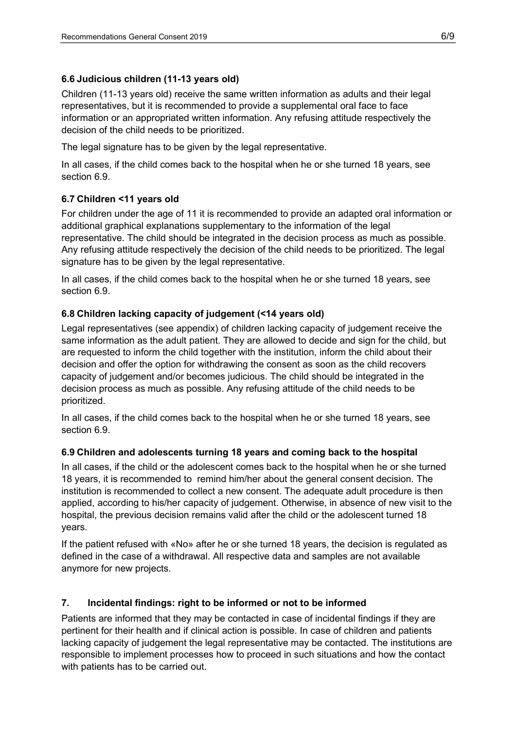# **6.6 Judicious children (11-13 years old)**

Children (11-13 years old) receive the same written information as adults and their legal representatives, but it is recommended to provide a supplemental oral face to face information or an appropriated written information. Any refusing attitude respectively the decision of the child needs to be prioritized.

The legal signature has to be given by the legal representative.

In all cases, if the child comes back to the hospital when he or she turned 18 years, see section 6.9.

# **6.7 Children <11 years old**

For children under the age of 11 it is recommended to provide an adapted oral information or additional graphical explanations supplementary to the information of the legal representative. The child should be integrated in the decision process as much as possible. Any refusing attitude respectively the decision of the child needs to be prioritized. The legal signature has to be given by the legal representative.

In all cases, if the child comes back to the hospital when he or she turned 18 years, see section 6.9.

# **6.8 Children lacking capacity of judgement (<14 years old)**

Legal representatives (see appendix) of children lacking capacity of judgement receive the same information as the adult patient. They are allowed to decide and sign for the child, but are requested to inform the child together with the institution, inform the child about their decision and offer the option for withdrawing the consent as soon as the child recovers capacity of judgement and/or becomes judicious. The child should be integrated in the decision process as much as possible. Any refusing attitude of the child needs to be prioritized.

In all cases, if the child comes back to the hospital when he or she turned 18 years, see section 6.9.

# **6.9 Children and adolescents turning 18 years and coming back to the hospital**

In all cases, if the child or the adolescent comes back to the hospital when he or she turned 18 years, it is recommended to remind him/her about the general consent decision. The institution is recommended to collect a new consent. The adequate adult procedure is then applied, according to his/her capacity of judgement. Otherwise, in absence of new visit to the hospital, the previous decision remains valid after the child or the adolescent turned 18 years.

If the patient refused with «No» after he or she turned 18 years, the decision is regulated as defined in the case of a withdrawal. All respective data and samples are not available anymore for new projects.

# **7. Incidental findings: right to be informed or not to be informed**

Patients are informed that they may be contacted in case of incidental findings if they are pertinent for their health and if clinical action is possible. In case of children and patients lacking capacity of judgement the legal representative may be contacted. The institutions are responsible to implement processes how to proceed in such situations and how the contact with patients has to be carried out.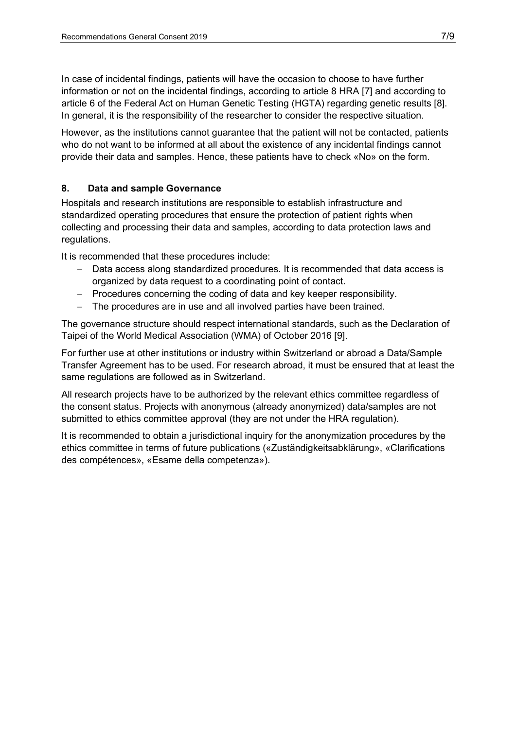In case of incidental findings, patients will have the occasion to choose to have further information or not on the incidental findings, according to article 8 HRA [7] and according to article 6 of the Federal Act on Human Genetic Testing (HGTA) regarding genetic results [8]. In general, it is the responsibility of the researcher to consider the respective situation.

However, as the institutions cannot guarantee that the patient will not be contacted, patients who do not want to be informed at all about the existence of any incidental findings cannot provide their data and samples. Hence, these patients have to check «No» on the form.

# **8. Data and sample Governance**

Hospitals and research institutions are responsible to establish infrastructure and standardized operating procedures that ensure the protection of patient rights when collecting and processing their data and samples, according to data protection laws and regulations.

It is recommended that these procedures include:

- − Data access along standardized procedures. It is recommended that data access is organized by data request to a coordinating point of contact.
- − Procedures concerning the coding of data and key keeper responsibility.
- − The procedures are in use and all involved parties have been trained.

The governance structure should respect international standards, such as the Declaration of Taipei of the World Medical Association (WMA) of October 2016 [9].

For further use at other institutions or industry within Switzerland or abroad a Data/Sample Transfer Agreement has to be used. For research abroad, it must be ensured that at least the same regulations are followed as in Switzerland.

All research projects have to be authorized by the relevant ethics committee regardless of the consent status. Projects with anonymous (already anonymized) data/samples are not submitted to ethics committee approval (they are not under the HRA regulation).

It is recommended to obtain a jurisdictional inquiry for the anonymization procedures by the ethics committee in terms of future publications («Zuständigkeitsabklärung», «Clarifications des compétences», «Esame della competenza»).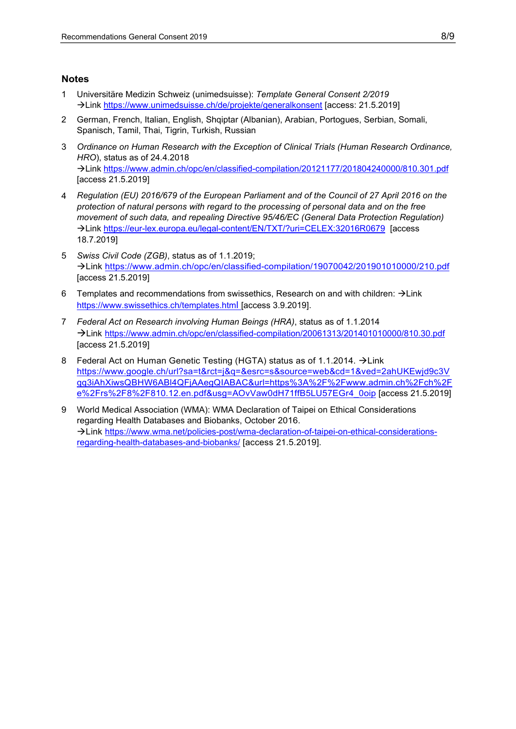#### **Notes**

- 1 Universitäre Medizin Schweiz (unimedsuisse): *Template General Consent 2/2019* Link<https://www.unimedsuisse.ch/de/projekte/generalkonsent> [access: 21.5.2019]
- 2 German, French, Italian, English, Shqiptar (Albanian), Arabian, Portogues, Serbian, Somali, Spanisch, Tamil, Thai, Tigrin, Turkish, Russian
- 3 *Ordinance on Human Research with the Exception of Clinical Trials (Human Research Ordinance, HRO*), status as of 24.4.2018 Link<https://www.admin.ch/opc/en/classified-compilation/20121177/201804240000/810.301.pdf> [access 21.5.2019]
- 4 *Regulation (EU) 2016/679 of the European Parliament and of the Council of 27 April 2016 on the protection of natural persons with regard to the processing of personal data and on the free movement of such data, and repealing Directive 95/46/EC (General Data Protection Regulation)* Link<https://eur-lex.europa.eu/legal-content/EN/TXT/?uri=CELEX:32016R0679> [access 18.7.2019]
- 5 *Swiss Civil Code (ZGB)*, status as of 1.1.2019; Link<https://www.admin.ch/opc/en/classified-compilation/19070042/201901010000/210.pdf> [access 21.5.2019]
- 6 Templates and recommendations from swissethics, Research on and with children:  $\rightarrow$  Link <https://www.swissethics.ch/templates.html> [access 3.9.2019].
- 7 *Federal Act on Research involving Human Beings (HRA)*, status as of 1.1.2014 Link <https://www.admin.ch/opc/en/classified-compilation/20061313/201401010000/810.30.pdf> [access 21.5.2019]
- 8 Federal Act on Human Genetic Testing (HGTA) status as of 1.1.2014.  $\rightarrow$  Link [https://www.google.ch/url?sa=t&rct=j&q=&esrc=s&source=web&cd=1&ved=2ahUKEwjd9c3V](https://www.google.ch/url?sa=t&rct=j&q=&esrc=s&source=web&cd=1&ved=2ahUKEwjd9c3Vqq3iAhXiwsQBHW6ABl4QFjAAegQIABAC&url=https%3A%2F%2Fwww.admin.ch%2Fch%2Fe%2Frs%2F8%2F810.12.en.pdf&usg=AOvVaw0dH71ffB5LU57EGr4_0oip) [qq3iAhXiwsQBHW6ABl4QFjAAegQIABAC&url=https%3A%2F%2Fwww.admin.ch%2Fch%2F](https://www.google.ch/url?sa=t&rct=j&q=&esrc=s&source=web&cd=1&ved=2ahUKEwjd9c3Vqq3iAhXiwsQBHW6ABl4QFjAAegQIABAC&url=https%3A%2F%2Fwww.admin.ch%2Fch%2Fe%2Frs%2F8%2F810.12.en.pdf&usg=AOvVaw0dH71ffB5LU57EGr4_0oip) [e%2Frs%2F8%2F810.12.en.pdf&usg=AOvVaw0dH71ffB5LU57EGr4\\_0oip](https://www.google.ch/url?sa=t&rct=j&q=&esrc=s&source=web&cd=1&ved=2ahUKEwjd9c3Vqq3iAhXiwsQBHW6ABl4QFjAAegQIABAC&url=https%3A%2F%2Fwww.admin.ch%2Fch%2Fe%2Frs%2F8%2F810.12.en.pdf&usg=AOvVaw0dH71ffB5LU57EGr4_0oip) [access 21.5.2019]
- 9 World Medical Association (WMA): WMA Declaration of Taipei on Ethical Considerations regarding Health Databases and Biobanks, October 2016. Link [https://www.wma.net/policies-post/wma-declaration-of-taipei-on-ethical-considerations](https://www.wma.net/policies-post/wma-declaration-of-taipei-on-ethical-considerations-regarding-health-databases-and-biobanks/)[regarding-health-databases-and-biobanks/](https://www.wma.net/policies-post/wma-declaration-of-taipei-on-ethical-considerations-regarding-health-databases-and-biobanks/) [access 21.5.2019].